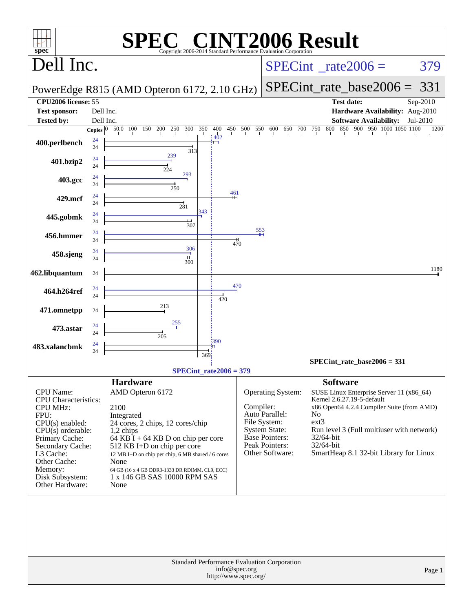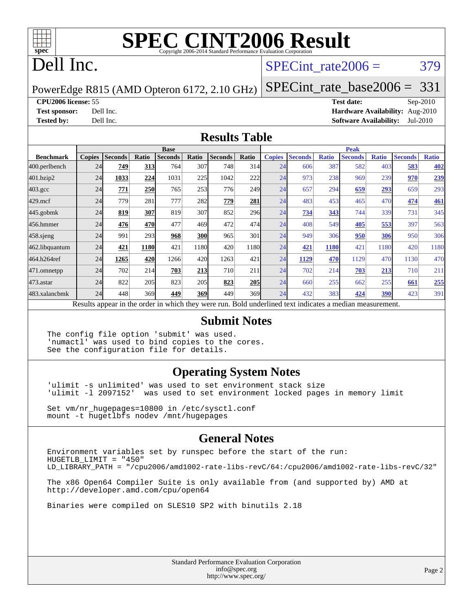

# **[SPEC CINT2006 Result](http://www.spec.org/auto/cpu2006/Docs/result-fields.html#SPECCINT2006Result)**

## Dell Inc.

#### SPECint rate $2006 = 379$

PowerEdge R815 (AMD Opteron 6172, 2.10 GHz)

[SPECint\\_rate\\_base2006 =](http://www.spec.org/auto/cpu2006/Docs/result-fields.html#SPECintratebase2006) 331

#### **[CPU2006 license:](http://www.spec.org/auto/cpu2006/Docs/result-fields.html#CPU2006license)** 55 **[Test date:](http://www.spec.org/auto/cpu2006/Docs/result-fields.html#Testdate)** Sep-2010

**[Test sponsor:](http://www.spec.org/auto/cpu2006/Docs/result-fields.html#Testsponsor)** Dell Inc. **[Hardware Availability:](http://www.spec.org/auto/cpu2006/Docs/result-fields.html#HardwareAvailability)** Aug-2010 **[Tested by:](http://www.spec.org/auto/cpu2006/Docs/result-fields.html#Testedby)** Dell Inc. **[Software Availability:](http://www.spec.org/auto/cpu2006/Docs/result-fields.html#SoftwareAvailability)** Jul-2010

#### **[Results Table](http://www.spec.org/auto/cpu2006/Docs/result-fields.html#ResultsTable)**

|                                                                                                          | <b>Base</b>   |                |       |                |       |                |            |               | <b>Peak</b>    |              |                |              |                |              |  |  |
|----------------------------------------------------------------------------------------------------------|---------------|----------------|-------|----------------|-------|----------------|------------|---------------|----------------|--------------|----------------|--------------|----------------|--------------|--|--|
| <b>Benchmark</b>                                                                                         | <b>Copies</b> | <b>Seconds</b> | Ratio | <b>Seconds</b> | Ratio | <b>Seconds</b> | Ratio      | <b>Copies</b> | <b>Seconds</b> | <b>Ratio</b> | <b>Seconds</b> | <b>Ratio</b> | <b>Seconds</b> | <b>Ratio</b> |  |  |
| 400.perlbench                                                                                            | 24            | 749            | 313   | 764            | 307   | 748            | 314        | 24            | 606            | 387          | 582            | 403          | 583            | <b>402</b>   |  |  |
| 401.bzip2                                                                                                | 24            | 1033           | 224   | 1031           | 225   | 1042           | 222        | 24            | 973            | 238          | 969            | 239          | 970            | 239          |  |  |
| $403.\mathrm{gcc}$                                                                                       | 24            | 771            | 250   | 765            | 253   | 776            | 249        | 24            | 657            | 294          | 659            | 293          | 659            | 293          |  |  |
| $429$ .mcf                                                                                               | 24            | 779            | 281   | 777            | 282   | 779            | 281        | 24            | 483            | 453          | 465            | 470          | 474            | <b>461</b>   |  |  |
| $445$ .gobmk                                                                                             | 24            | 819            | 307   | 819            | 307   | 852            | 296        | 24            | <b>734</b>     | 343          | 744            | 339          | 731            | 345          |  |  |
| 456.hmmer                                                                                                | 24            | 476            | 470   | 477            | 469   | 472            | 474        | 24            | 408            | 549          | 405            | 553          | 397            | 563          |  |  |
| $458$ .sjeng                                                                                             | 24            | 991            | 293   | 968            | 300   | 965            | 301        | 24            | 949            | 306          | 950            | 306          | 950            | 306          |  |  |
| 462.libquantum                                                                                           | 24            | 421            | 1180  | 421            | 1180  | 420            | 1180       | 24            | 421            | 1180         | 421            | 1180         | 420            | 1180         |  |  |
| 464.h264ref                                                                                              | 24            | 1265           | 420   | 1266           | 420   | 1263           | 421        | 24            | 1129           | 470          | 1129           | 470          | 1130           | 470          |  |  |
| 471.omnetpp                                                                                              | 24            | 702            | 214   | 703            | 213   | 710            | 211        | 24            | 702            | 214          | 703            | 213          | 710            | 211          |  |  |
| $473$ . astar                                                                                            | 24            | 822            | 205   | 823            | 205   | 823            | <b>205</b> | 24            | 660            | 255          | 662            | 255          | 661            | 255          |  |  |
| 483.xalancbmk                                                                                            | 24            | 448            | 369   | 449            | 369   | 449            | 369        | 24            | 432            | 383          | 424            | 390          | 423            | 391          |  |  |
| Results appear in the order in which they were run. Bold underlined text indicates a median measurement. |               |                |       |                |       |                |            |               |                |              |                |              |                |              |  |  |

#### **[Submit Notes](http://www.spec.org/auto/cpu2006/Docs/result-fields.html#SubmitNotes)**

The config file option 'submit' was used. 'numactl' was used to bind copies to the cores. See the configuration file for details.

#### **[Operating System Notes](http://www.spec.org/auto/cpu2006/Docs/result-fields.html#OperatingSystemNotes)**

'ulimit -s unlimited' was used to set environment stack size 'ulimit -l 2097152' was used to set environment locked pages in memory limit

Set vm/nr\_hugepages=10800 in /etc/sysctl.conf mount -t hugetlbfs nodev /mnt/hugepages

#### **[General Notes](http://www.spec.org/auto/cpu2006/Docs/result-fields.html#GeneralNotes)**

Environment variables set by runspec before the start of the run: HUGETLB\_LIMIT = "450" LD\_LIBRARY\_PATH = "/cpu2006/amd1002-rate-libs-revC/64:/cpu2006/amd1002-rate-libs-revC/32"

The x86 Open64 Compiler Suite is only available from (and supported by) AMD at <http://developer.amd.com/cpu/open64>

Binaries were compiled on SLES10 SP2 with binutils 2.18

Standard Performance Evaluation Corporation [info@spec.org](mailto:info@spec.org) <http://www.spec.org/>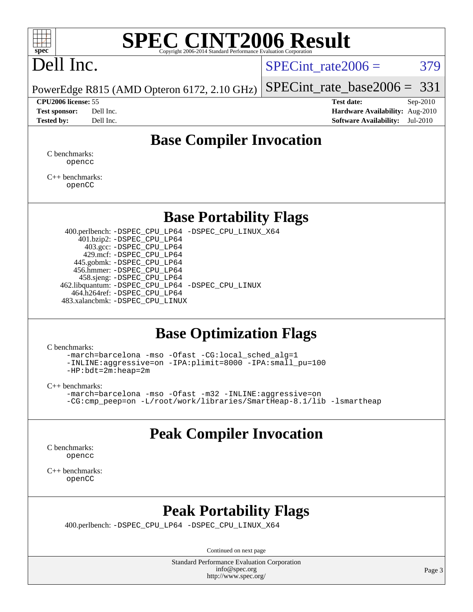

# **[SPEC CINT2006 Result](http://www.spec.org/auto/cpu2006/Docs/result-fields.html#SPECCINT2006Result)**

# Dell Inc.

SPECint rate $2006 = 379$ 

[SPECint\\_rate\\_base2006 =](http://www.spec.org/auto/cpu2006/Docs/result-fields.html#SPECintratebase2006)  $331$ 

PowerEdge R815 (AMD Opteron 6172, 2.10 GHz)

**[CPU2006 license:](http://www.spec.org/auto/cpu2006/Docs/result-fields.html#CPU2006license)** 55 **[Test date:](http://www.spec.org/auto/cpu2006/Docs/result-fields.html#Testdate)** Sep-2010 **[Test sponsor:](http://www.spec.org/auto/cpu2006/Docs/result-fields.html#Testsponsor)** Dell Inc. **[Hardware Availability:](http://www.spec.org/auto/cpu2006/Docs/result-fields.html#HardwareAvailability)** Aug-2010 **[Tested by:](http://www.spec.org/auto/cpu2006/Docs/result-fields.html#Testedby)** Dell Inc. **[Software Availability:](http://www.spec.org/auto/cpu2006/Docs/result-fields.html#SoftwareAvailability)** Jul-2010

### **[Base Compiler Invocation](http://www.spec.org/auto/cpu2006/Docs/result-fields.html#BaseCompilerInvocation)**

[C benchmarks](http://www.spec.org/auto/cpu2006/Docs/result-fields.html#Cbenchmarks): [opencc](http://www.spec.org/cpu2006/results/res2010q3/cpu2006-20100914-13290.flags.html#user_CCbase_Fopencc)

[C++ benchmarks:](http://www.spec.org/auto/cpu2006/Docs/result-fields.html#CXXbenchmarks) [openCC](http://www.spec.org/cpu2006/results/res2010q3/cpu2006-20100914-13290.flags.html#user_CXXbase_FopenCC)

#### **[Base Portability Flags](http://www.spec.org/auto/cpu2006/Docs/result-fields.html#BasePortabilityFlags)**

 400.perlbench: [-DSPEC\\_CPU\\_LP64](http://www.spec.org/cpu2006/results/res2010q3/cpu2006-20100914-13290.flags.html#b400.perlbench_basePORTABILITY_DSPEC_CPU_LP64) [-DSPEC\\_CPU\\_LINUX\\_X64](http://www.spec.org/cpu2006/results/res2010q3/cpu2006-20100914-13290.flags.html#b400.perlbench_baseCPORTABILITY_DSPEC_CPU_LINUX_X64) 401.bzip2: [-DSPEC\\_CPU\\_LP64](http://www.spec.org/cpu2006/results/res2010q3/cpu2006-20100914-13290.flags.html#suite_basePORTABILITY401_bzip2_DSPEC_CPU_LP64) 403.gcc: [-DSPEC\\_CPU\\_LP64](http://www.spec.org/cpu2006/results/res2010q3/cpu2006-20100914-13290.flags.html#suite_basePORTABILITY403_gcc_DSPEC_CPU_LP64) 429.mcf: [-DSPEC\\_CPU\\_LP64](http://www.spec.org/cpu2006/results/res2010q3/cpu2006-20100914-13290.flags.html#suite_basePORTABILITY429_mcf_DSPEC_CPU_LP64) 445.gobmk: [-DSPEC\\_CPU\\_LP64](http://www.spec.org/cpu2006/results/res2010q3/cpu2006-20100914-13290.flags.html#suite_basePORTABILITY445_gobmk_DSPEC_CPU_LP64) 456.hmmer: [-DSPEC\\_CPU\\_LP64](http://www.spec.org/cpu2006/results/res2010q3/cpu2006-20100914-13290.flags.html#suite_basePORTABILITY456_hmmer_DSPEC_CPU_LP64) 458.sjeng: [-DSPEC\\_CPU\\_LP64](http://www.spec.org/cpu2006/results/res2010q3/cpu2006-20100914-13290.flags.html#suite_basePORTABILITY458_sjeng_DSPEC_CPU_LP64) 462.libquantum: [-DSPEC\\_CPU\\_LP64](http://www.spec.org/cpu2006/results/res2010q3/cpu2006-20100914-13290.flags.html#suite_basePORTABILITY462_libquantum_DSPEC_CPU_LP64) [-DSPEC\\_CPU\\_LINUX](http://www.spec.org/cpu2006/results/res2010q3/cpu2006-20100914-13290.flags.html#b462.libquantum_baseCPORTABILITY_DSPEC_CPU_LINUX) 464.h264ref: [-DSPEC\\_CPU\\_LP64](http://www.spec.org/cpu2006/results/res2010q3/cpu2006-20100914-13290.flags.html#suite_basePORTABILITY464_h264ref_DSPEC_CPU_LP64) 483.xalancbmk: [-DSPEC\\_CPU\\_LINUX](http://www.spec.org/cpu2006/results/res2010q3/cpu2006-20100914-13290.flags.html#b483.xalancbmk_baseCXXPORTABILITY_DSPEC_CPU_LINUX)

#### **[Base Optimization Flags](http://www.spec.org/auto/cpu2006/Docs/result-fields.html#BaseOptimizationFlags)**

[C benchmarks](http://www.spec.org/auto/cpu2006/Docs/result-fields.html#Cbenchmarks):

[-march=barcelona](http://www.spec.org/cpu2006/results/res2010q3/cpu2006-20100914-13290.flags.html#user_CCbase_F-march_8ea39521cada96f307a04d0b8b9c6ffb) [-mso](http://www.spec.org/cpu2006/results/res2010q3/cpu2006-20100914-13290.flags.html#user_CCbase_F-mso) [-Ofast](http://www.spec.org/cpu2006/results/res2010q3/cpu2006-20100914-13290.flags.html#user_CCbase_F-Ofast) [-CG:local\\_sched\\_alg=1](http://www.spec.org/cpu2006/results/res2010q3/cpu2006-20100914-13290.flags.html#user_CCbase_F-CG:local_sched_alg_2175ca61f1a2717f1ec57b14995b9e7a) [-INLINE:aggressive=on](http://www.spec.org/cpu2006/results/res2010q3/cpu2006-20100914-13290.flags.html#user_CCbase_F-INLINE:aggressive_e14807c0a1e56a6a83cb25ab07c7ae8a) [-IPA:plimit=8000](http://www.spec.org/cpu2006/results/res2010q3/cpu2006-20100914-13290.flags.html#user_CCbase_F-IPA:plimit_92cba83f3d47f09c7d5368fda93ddbd7) [-IPA:small\\_pu=100](http://www.spec.org/cpu2006/results/res2010q3/cpu2006-20100914-13290.flags.html#user_CCbase_F-IPA:small_pu_900a09767c6929d55c26ea3d32399996) [-HP:bdt=2m:heap=2m](http://www.spec.org/cpu2006/results/res2010q3/cpu2006-20100914-13290.flags.html#user_CCbase_F-HUGEPAGE_855e97383b49831f390a2af16fe7202f)

[C++ benchmarks:](http://www.spec.org/auto/cpu2006/Docs/result-fields.html#CXXbenchmarks)

[-march=barcelona](http://www.spec.org/cpu2006/results/res2010q3/cpu2006-20100914-13290.flags.html#user_CXXbase_F-march_8ea39521cada96f307a04d0b8b9c6ffb) [-mso](http://www.spec.org/cpu2006/results/res2010q3/cpu2006-20100914-13290.flags.html#user_CXXbase_F-mso) [-Ofast](http://www.spec.org/cpu2006/results/res2010q3/cpu2006-20100914-13290.flags.html#user_CXXbase_F-Ofast) [-m32](http://www.spec.org/cpu2006/results/res2010q3/cpu2006-20100914-13290.flags.html#user_CXXbase_F-m32) [-INLINE:aggressive=on](http://www.spec.org/cpu2006/results/res2010q3/cpu2006-20100914-13290.flags.html#user_CXXbase_F-INLINE:aggressive_e14807c0a1e56a6a83cb25ab07c7ae8a) [-CG:cmp\\_peep=on](http://www.spec.org/cpu2006/results/res2010q3/cpu2006-20100914-13290.flags.html#user_CXXbase_F-CG:cmp_peep_ab90c979e95bee1f1f617a32622424ed) [-L/root/work/libraries/SmartHeap-8.1/lib -lsmartheap](http://www.spec.org/cpu2006/results/res2010q3/cpu2006-20100914-13290.flags.html#user_CXXbase_F-L_lib_directory_lsmartheap_9ab549d8336b8b0ffe7b94e3ae706265)

## **[Peak Compiler Invocation](http://www.spec.org/auto/cpu2006/Docs/result-fields.html#PeakCompilerInvocation)**

[C benchmarks](http://www.spec.org/auto/cpu2006/Docs/result-fields.html#Cbenchmarks): [opencc](http://www.spec.org/cpu2006/results/res2010q3/cpu2006-20100914-13290.flags.html#user_CCpeak_Fopencc)

[C++ benchmarks:](http://www.spec.org/auto/cpu2006/Docs/result-fields.html#CXXbenchmarks) [openCC](http://www.spec.org/cpu2006/results/res2010q3/cpu2006-20100914-13290.flags.html#user_CXXpeak_FopenCC)

### **[Peak Portability Flags](http://www.spec.org/auto/cpu2006/Docs/result-fields.html#PeakPortabilityFlags)**

400.perlbench: [-DSPEC\\_CPU\\_LP64](http://www.spec.org/cpu2006/results/res2010q3/cpu2006-20100914-13290.flags.html#b400.perlbench_peakPORTABILITY_DSPEC_CPU_LP64) [-DSPEC\\_CPU\\_LINUX\\_X64](http://www.spec.org/cpu2006/results/res2010q3/cpu2006-20100914-13290.flags.html#b400.perlbench_peakCPORTABILITY_DSPEC_CPU_LINUX_X64)

Continued on next page

Standard Performance Evaluation Corporation [info@spec.org](mailto:info@spec.org) <http://www.spec.org/>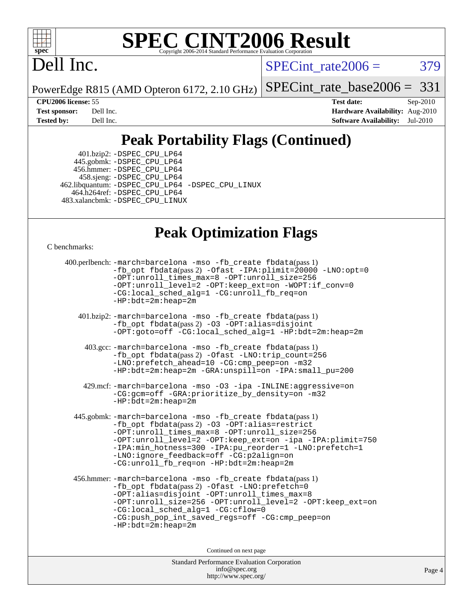

# **[SPEC CINT2006 Result](http://www.spec.org/auto/cpu2006/Docs/result-fields.html#SPECCINT2006Result)**

# Dell Inc.

 $SPECTnt_rate2006 = 379$ 

PowerEdge R815 (AMD Opteron 6172, 2.10 GHz)

[SPECint\\_rate\\_base2006 =](http://www.spec.org/auto/cpu2006/Docs/result-fields.html#SPECintratebase2006)  $331$ 

**[CPU2006 license:](http://www.spec.org/auto/cpu2006/Docs/result-fields.html#CPU2006license)** 55 **[Test date:](http://www.spec.org/auto/cpu2006/Docs/result-fields.html#Testdate)** Sep-2010 **[Test sponsor:](http://www.spec.org/auto/cpu2006/Docs/result-fields.html#Testsponsor)** Dell Inc. **[Hardware Availability:](http://www.spec.org/auto/cpu2006/Docs/result-fields.html#HardwareAvailability)** Aug-2010 **[Tested by:](http://www.spec.org/auto/cpu2006/Docs/result-fields.html#Testedby)** Dell Inc. **[Software Availability:](http://www.spec.org/auto/cpu2006/Docs/result-fields.html#SoftwareAvailability)** Jul-2010

## **[Peak Portability Flags \(Continued\)](http://www.spec.org/auto/cpu2006/Docs/result-fields.html#PeakPortabilityFlags)**

 401.bzip2: [-DSPEC\\_CPU\\_LP64](http://www.spec.org/cpu2006/results/res2010q3/cpu2006-20100914-13290.flags.html#suite_peakPORTABILITY401_bzip2_DSPEC_CPU_LP64) 445.gobmk: [-DSPEC\\_CPU\\_LP64](http://www.spec.org/cpu2006/results/res2010q3/cpu2006-20100914-13290.flags.html#suite_peakPORTABILITY445_gobmk_DSPEC_CPU_LP64) 456.hmmer: [-DSPEC\\_CPU\\_LP64](http://www.spec.org/cpu2006/results/res2010q3/cpu2006-20100914-13290.flags.html#suite_peakPORTABILITY456_hmmer_DSPEC_CPU_LP64) 458.sjeng: [-DSPEC\\_CPU\\_LP64](http://www.spec.org/cpu2006/results/res2010q3/cpu2006-20100914-13290.flags.html#suite_peakPORTABILITY458_sjeng_DSPEC_CPU_LP64) 462.libquantum: [-DSPEC\\_CPU\\_LP64](http://www.spec.org/cpu2006/results/res2010q3/cpu2006-20100914-13290.flags.html#suite_peakPORTABILITY462_libquantum_DSPEC_CPU_LP64) [-DSPEC\\_CPU\\_LINUX](http://www.spec.org/cpu2006/results/res2010q3/cpu2006-20100914-13290.flags.html#b462.libquantum_peakCPORTABILITY_DSPEC_CPU_LINUX) 464.h264ref: [-DSPEC\\_CPU\\_LP64](http://www.spec.org/cpu2006/results/res2010q3/cpu2006-20100914-13290.flags.html#suite_peakPORTABILITY464_h264ref_DSPEC_CPU_LP64) 483.xalancbmk: [-DSPEC\\_CPU\\_LINUX](http://www.spec.org/cpu2006/results/res2010q3/cpu2006-20100914-13290.flags.html#b483.xalancbmk_peakCXXPORTABILITY_DSPEC_CPU_LINUX)

### **[Peak Optimization Flags](http://www.spec.org/auto/cpu2006/Docs/result-fields.html#PeakOptimizationFlags)**

[C benchmarks](http://www.spec.org/auto/cpu2006/Docs/result-fields.html#Cbenchmarks):

```
Standard Performance Evaluation Corporation
400.perlbench: -march=barcelona -mso -fb_create fbdata(pass 1)
          -fb_opt fbdata(pass 2) -Ofast -IPA:plimit=20000 -LNO:opt=0
          -OPT:unroll_times_max=8 -OPT:unroll_size=256
          -OPT:unroll_level=2 -OPT:keep_ext=on -WOPT:if_conv=0
          -CG:local_sched_alg=1 -CG:unroll_fb_req=on
          -HP:bdt=2m:heap=2m
   401.bzip2: -march=barcelona -mso -fb_create fbdata(pass 1)
          -fb_opt fbdata(pass 2) -O3 -OPT:alias=disjoint
          -OPT:goto=off -CG:local_sched_alg=1 -HP:bdt=2m:heap=2m
    403.gcc: -march=barcelona -mso -fb_create fbdata(pass 1)
          -fb_opt fbdata(pass 2) -Ofast -LNO:trip_count=256
          -LNO:prefetch_ahead=10 -CG:cmp_peep=on -m32
          -HP:bdt=2m:heap=2m -GRA:unspill=on -IPA:small_pu=200
    429.mcf: -march=barcelona -mso -O3 -ipa -INLINE:aggressive=on
          -CG:gcm=off -GRA:prioritize_by_density=on -m32
          -HP:bdt=2m:heap=2m
  445.gobmk: -march=barcelona -mso -fb_create fbdata(pass 1)
          -fb_opt fbdata(pass 2) -O3 -OPT:alias=restrict
          -OPT:unroll_times_max=8 -OPT:unroll_size=256
          -OPT:unroll_level=2 -OPT:keep_ext=on -ipa -IPA:plimit=750
          -IPA:min_hotness=300-IPA:pu_reorder=1-LNO:prefetch=1
          -LNO:ignore_feedback=off -CG:p2align=on
          -CG:unroll_fb_req=on -HP:bdt=2m:heap=2m
 456.hmmer: -march=barcelona -mso -fb_create fbdata(pass 1)
          -fb_opt fbdata(pass 2) -Ofast -LNO:prefetch=0
          -OPT:alias=disjoint -OPT:unroll_times_max=8
          -OPT:unroll_size=256 -OPT:unroll_level=2 -OPT:keep_ext=on
          -CG:local_sched_alg=1 -CG:cflow=0
          -CG:push_pop_int_saved_regs=off -CG:cmp_peep=on
          -HP:bdt=2m:heap=2m
                               Continued on next page
```
[info@spec.org](mailto:info@spec.org) <http://www.spec.org/>